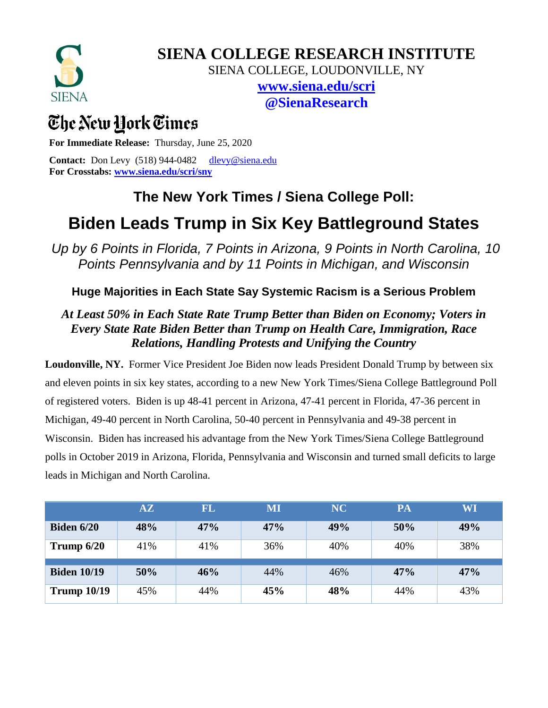

**SIENA COLLEGE RESEARCH INSTITUTE**

SIENA COLLEGE, LOUDONVILLE, NY

**[www.siena.edu/scri](http://www.siena.edu/scri) @SienaResearch**

# The New York Times

**For Immediate Release:** Thursday, June 25, 2020

**Contact:** Don Levy (518) 944-0482 [dlevy@siena.edu](mailto:dlevy@siena.edu) **For Crosstabs: [www.siena.edu/scri/sny](http://www.siena.edu/scri/sny)**

### **The New York Times / Siena College Poll:**

## **Biden Leads Trump in Six Key Battleground States**

*Up by 6 Points in Florida, 7 Points in Arizona, 9 Points in North Carolina, 10 Points Pennsylvania and by 11 Points in Michigan, and Wisconsin*

**Huge Majorities in Each State Say Systemic Racism is a Serious Problem**

#### *At Least 50% in Each State Rate Trump Better than Biden on Economy; Voters in Every State Rate Biden Better than Trump on Health Care, Immigration, Race Relations, Handling Protests and Unifying the Country*

**Loudonville, NY.** Former Vice President Joe Biden now leads President Donald Trump by between six and eleven points in six key states, according to a new New York Times/Siena College Battleground Poll of registered voters. Biden is up 48-41 percent in Arizona, 47-41 percent in Florida, 47-36 percent in Michigan, 49-40 percent in North Carolina, 50-40 percent in Pennsylvania and 49-38 percent in Wisconsin. Biden has increased his advantage from the New York Times/Siena College Battleground polls in October 2019 in Arizona, Florida, Pennsylvania and Wisconsin and turned small deficits to large leads in Michigan and North Carolina.

|                    | $\mathbf{A}\mathbf{Z}$ | <b>FL</b> | $\overline{\text{MI}}$ | NC  | PA  | WI  |
|--------------------|------------------------|-----------|------------------------|-----|-----|-----|
| <b>Biden 6/20</b>  | 48%                    | 47%       | 47%                    | 49% | 50% | 49% |
| Trump $6/20$       | 41%                    | 41%       | 36%                    | 40% | 40% | 38% |
| <b>Biden 10/19</b> | 50%                    | 46%       | 44%                    | 46% | 47% | 47% |
| <b>Trump 10/19</b> | 45%                    | 44%       | 45%                    | 48% | 44% | 43% |